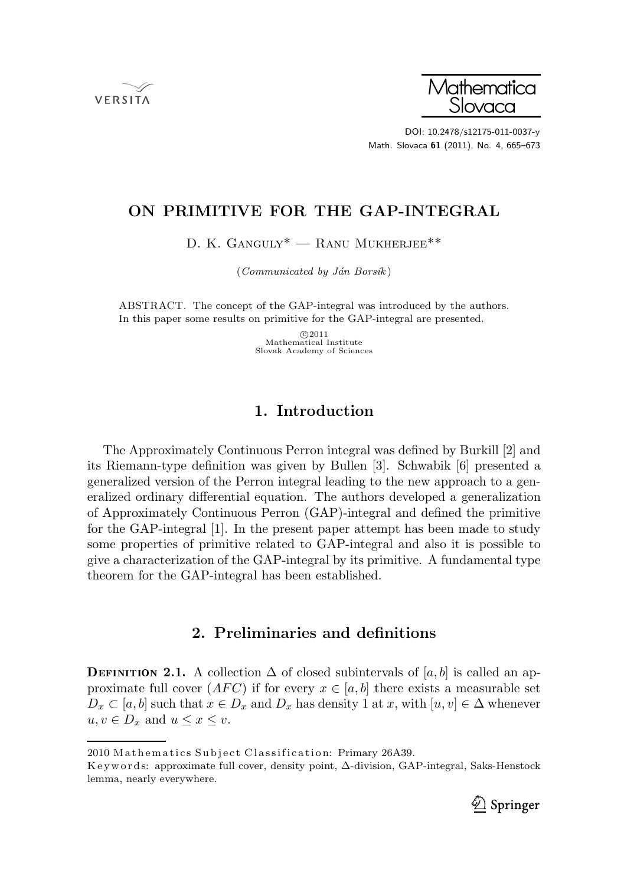**VERSITA** 



DOI: 10.2478/s12175-011-0037-y Math. Slovaca 61 (2011), No. 4, 665–673

# ON PRIMITIVE FOR THE GAP-INTEGRAL

D. K. GANGULY<sup>\*</sup> — RANU MUKHERJEE<sup>\*\*</sup>

 $(Communicated by Ján Borsík)$ 

ABSTRACT. The concept of the GAP-integral was introduced by the authors. In this paper some results on primitive for the GAP-integral are presented.

> $©2011$ Mathematical Institute Slovak Academy of Sciences

## 1. Introduction

The Approximately Continuous Perron integral was defined by Burkill [2] and its Riemann-type definition was given by Bullen [3]. Schwabik [6] presented a generalized version of the Perron integral leading to the new approach to a generalized ordinary differential equation. The authors developed a generalization of Approximately Continuous Perron (GAP)-integral and defined the primitive for the GAP-integral [1]. In the present paper attempt has been made to study some properties of primitive related to GAP-integral and also it is possible to give a characterization of the GAP-integral by its primitive. A fundamental type theorem for the GAP-integral has been established.

## 2. Preliminaries and definitions

**DEFINITION 2.1.** A collection  $\Delta$  of closed subintervals of  $[a, b]$  is called an approximate full cover  $(AFC)$  if for every  $x \in [a, b]$  there exists a measurable set  $D_x \subset [a, b]$  such that  $x \in D_x$  and  $D_x$  has density 1 at x, with  $[u, v] \in \Delta$  whenever  $u, v \in D_x$  and  $u \leq x \leq v$ .

K e y w ords: approximate full cover, density point, ∆-division, GAP-integral, Saks-Henstock lemma, nearly everywhere.



<sup>2010</sup> Mathematics Subject Classification: Primary 26A39.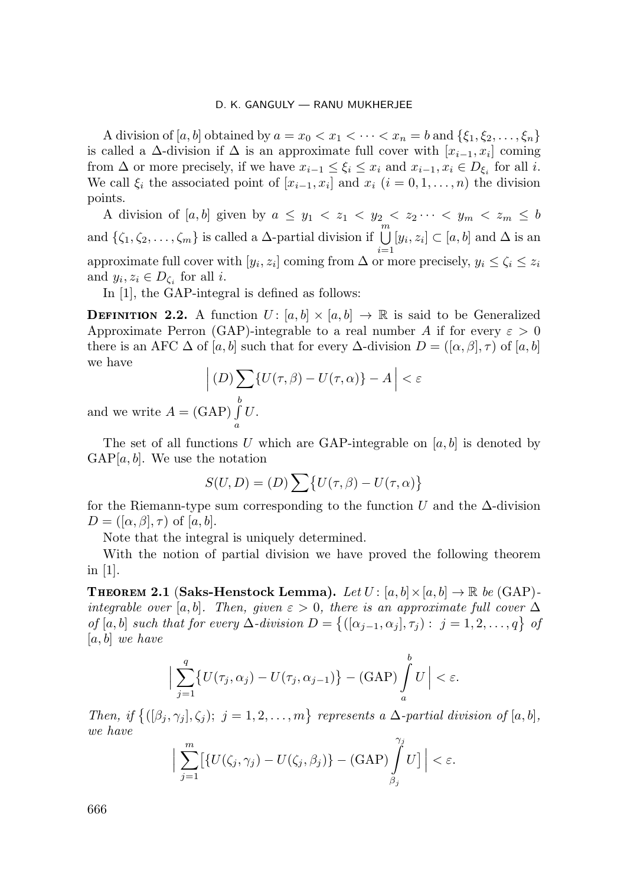A division of [a, b] obtained by  $a = x_0 < x_1 < \cdots < x_n = b$  and  $\{\xi_1, \xi_2, \ldots, \xi_n\}$ is called a  $\Delta$ -division if  $\Delta$  is an approximate full cover with  $[x_{i-1}, x_i]$  coming from  $\Delta$  or more precisely, if we have  $x_{i-1} \leq \xi_i \leq x_i$  and  $x_{i-1}, x_i \in D_{\xi_i}$  for all i. We call  $\xi_i$  the associated point of  $[x_{i-1}, x_i]$  and  $x_i$   $(i = 0, 1, ..., n)$  the division points.

A division of  $[a, b]$  given by  $a \leq y_1 < z_1 < y_2 < z_2 \cdots < y_m < z_m \leq b$ and  $\{\zeta_1, \zeta_2, \ldots, \zeta_m\}$  is called a  $\Delta$ -partial division if  $\bigcup_{i=1}^m [y_i, z_i] \subset [a, b]$  and  $\Delta$  is an approximate full cover with  $[y_i, z_i]$  coming from  $\Delta$  or more precisely,  $y_i \le \zeta_i \le z_i$ and  $y_i, z_i \in D_{\zeta_i}$  for all *i*.

In [1], the GAP-integral is defined as follows:

**DEFINITION 2.2.** A function  $U: [a, b] \times [a, b] \rightarrow \mathbb{R}$  is said to be Generalized Approximate Perron (GAP)-integrable to a real number A if for every  $\varepsilon > 0$ there is an AFC  $\Delta$  of [a, b] such that for every  $\Delta$ -division  $D = ([\alpha, \beta], \tau)$  of [a, b] we have

$$
\left| (D) \sum_{b} \{ U(\tau, \beta) - U(\tau, \alpha) \} - A \right| < \varepsilon
$$
\n
$$
\sum_{b} \{ D \mid H \}
$$

and we write  $A = (GAP) \int$ a  $U$ .

The set of all functions U which are GAP-integrable on  $[a, b]$  is denoted by  $GAP[a, b]$ . We use the notation

$$
S(U, D) = (D) \sum \{ U(\tau, \beta) - U(\tau, \alpha) \}
$$

for the Riemann-type sum corresponding to the function U and the  $\Delta$ -division  $D = ([\alpha, \beta], \tau)$  of  $[a, b]$ .

Note that the integral is uniquely determined.

With the notion of partial division we have proved the following theorem in [1].

**THEOREM 2.1 (Saks-Henstock Lemma).** Let  $U : [a, b] \times [a, b] \rightarrow \mathbb{R}$  be (GAP)integrable over [a, b]. Then, given  $\varepsilon > 0$ , there is an approximate full cover  $\Delta$ of [a, b] such that for every  $\Delta$ -division  $D = \{([\alpha_{j-1}, \alpha_j], \tau_j) : j = 1, 2, ..., q\}$  of  $[a, b]$  we have

$$
\Big|\sum_{j=1}^q \big\{U(\tau_j,\alpha_j)-U(\tau_j,\alpha_{j-1})\big\}-\text{(GAP)}\int_a^b U\Big|<\varepsilon.
$$

Then, if  $\{([\beta_j,\gamma_j],\zeta_j); j=1,2,\ldots,m\}$  represents a  $\Delta$ -partial division of  $[a,b],$ we have

$$
\Big|\sum_{j=1}^m\bigl[\{U(\zeta_j,\gamma_j)-U(\zeta_j,\beta_j)\}-(\text{GAP})\int\limits_{\beta_j}^{\gamma_j}U\bigr]\Big|<\varepsilon.
$$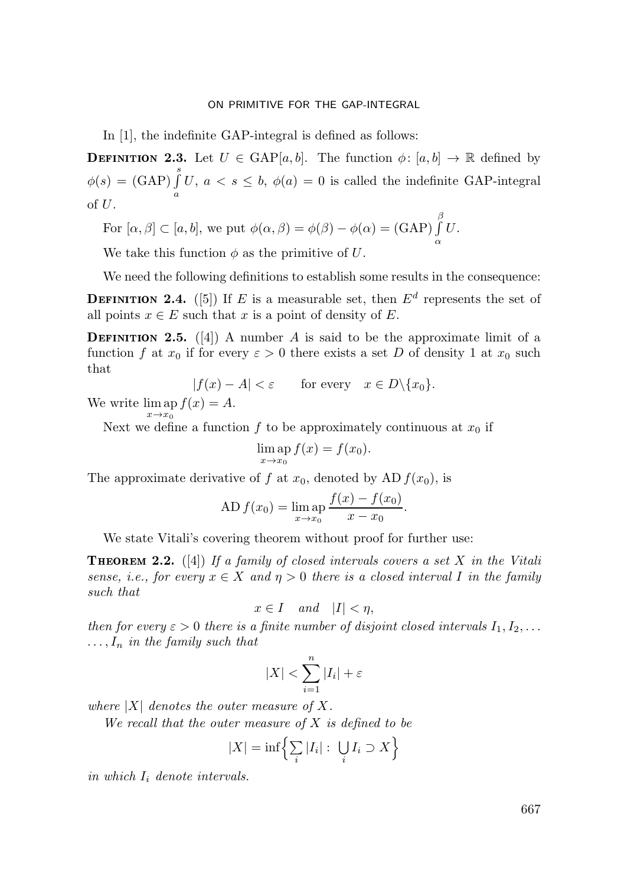#### ON PRIMITIVE FOR THE GAP-INTEGRAL

In [1], the indefinite GAP-integral is defined as follows:

**DEFINITION 2.3.** Let  $U \in \text{GAP}[a, b]$ . The function  $\phi : [a, b] \to \mathbb{R}$  defined by  $\phi(s) = (\text{GAP}) \int^{s}$ a U,  $a < s \le b$ ,  $\phi(a) = 0$  is called the indefinite GAP-integral of  $U$ .

For  $[\alpha, \beta] \subset [a, b]$ , we put  $\phi(\alpha, \beta) = \phi(\beta) - \phi(\alpha) = (GAP)$  $\int$ α U.

We take this function  $\phi$  as the primitive of U.

We need the following definitions to establish some results in the consequence:

**DEFINITION 2.4.** ([5]) If E is a measurable set, then  $E^d$  represents the set of all points  $x \in E$  such that x is a point of density of E.

**DEFINITION 2.5.** ([4]) A number A is said to be the approximate limit of a function f at  $x_0$  if for every  $\varepsilon > 0$  there exists a set D of density 1 at  $x_0$  such that

$$
|f(x) - A| < \varepsilon \qquad \text{for every} \quad x \in D \setminus \{x_0\}.
$$

We write  $\lim_{x \to 0} \operatorname{sp} f(x) = A$ .  $x\rightarrow x_0$ 

Next we define a function f to be approximately continuous at  $x_0$  if

$$
\lim_{x \to x_0} \operatorname{ap} f(x) = f(x_0).
$$

The approximate derivative of f at  $x_0$ , denoted by AD  $f(x_0)$ , is

AD 
$$
f(x_0) = \lim_{x \to x_0} \frac{f(x) - f(x_0)}{x - x_0}
$$
.

We state Vitali's covering theorem without proof for further use:

**THEOREM 2.2.** ([4]) If a family of closed intervals covers a set X in the Vitali sense, i.e., for every  $x \in X$  and  $\eta > 0$  there is a closed interval I in the family such that

$$
x \in I \quad and \quad |I| < \eta,
$$

then for every  $\varepsilon > 0$  there is a finite number of disjoint closed intervals  $I_1, I_2, \ldots$  $\ldots, I_n$  in the family such that

$$
|X| < \sum_{i=1}^{n} |I_i| + \varepsilon
$$

where  $|X|$  denotes the outer measure of X.

We recall that the outer measure of  $X$  is defined to be

$$
|X| = \inf \left\{ \sum_{i} |I_i| : \bigcup_{i} I_i \supset X \right\}
$$

in which  $I_i$  denote intervals.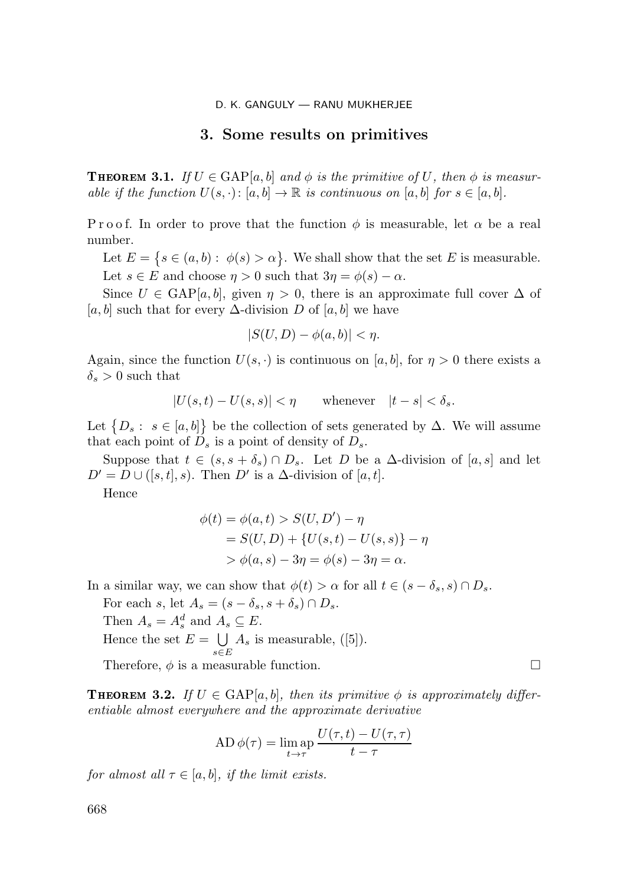### 3. Some results on primitives

**THEOREM 3.1.** If  $U \in \text{GAP}[a, b]$  and  $\phi$  is the primitive of U, then  $\phi$  is measurable if the function  $U(s, \cdot): [a, b] \to \mathbb{R}$  is continuous on  $[a, b]$  for  $s \in [a, b]$ .

P r o o f. In order to prove that the function  $\phi$  is measurable, let  $\alpha$  be a real number.

Let  $E = \{ s \in (a, b) : \phi(s) > \alpha \}.$  We shall show that the set E is measurable. Let  $s \in E$  and choose  $\eta > 0$  such that  $3\eta = \phi(s) - \alpha$ .

Since  $U \in \text{GAP}[a, b]$ , given  $\eta > 0$ , there is an approximate full cover  $\Delta$  of  $[a, b]$  such that for every  $\Delta$ -division D of  $[a, b]$  we have

$$
|S(U,D) - \phi(a,b)| < \eta.
$$

Again, since the function  $U(s, \cdot)$  is continuous on [a, b], for  $\eta > 0$  there exists a  $\delta_s > 0$  such that

$$
|U(s,t) - U(s,s)| < \eta \qquad \text{whenever} \quad |t - s| < \delta_s.
$$

Let  $\{D_s: s \in [a, b]\}\$  be the collection of sets generated by  $\Delta$ . We will assume that each point of  $D_s$  is a point of density of  $D_s$ .

Suppose that  $t \in (s, s + \delta_s) \cap D_s$ . Let D be a  $\Delta$ -division of [a, s] and let  $D' = D \cup ([s, t], s)$ . Then  $D'$  is a  $\Delta$ -division of  $[a, t]$ .

Hence

$$
\phi(t) = \phi(a, t) > S(U, D') - \eta
$$
  
= S(U, D) + {U(s, t) – U(s, s)} - \eta  
> \phi(a, s) - 3\eta = \phi(s) - 3\eta = \alpha.

In a similar way, we can show that  $\phi(t) > \alpha$  for all  $t \in (s - \delta_s, s) \cap D_s$ .

For each s, let  $A_s = (s - \delta_s, s + \delta_s) \cap D_s$ . Then  $A_s = A_s^d$  and  $A_s \subseteq E$ . Hence the set  $E = \bigcup$  $\bigcup_{s\in E} A_s$  is measurable, ([5]). Therefore,  $\phi$  is a measurable function.

**THEOREM 3.2.** If  $U \in \text{GAP}[a, b]$ , then its primitive  $\phi$  is approximately differentiable almost everywhere and the approximate derivative

AD 
$$
\phi(\tau) = \lim_{t \to \tau} \frac{U(\tau, t) - U(\tau, \tau)}{t - \tau}
$$

for almost all  $\tau \in [a, b]$ , if the limit exists.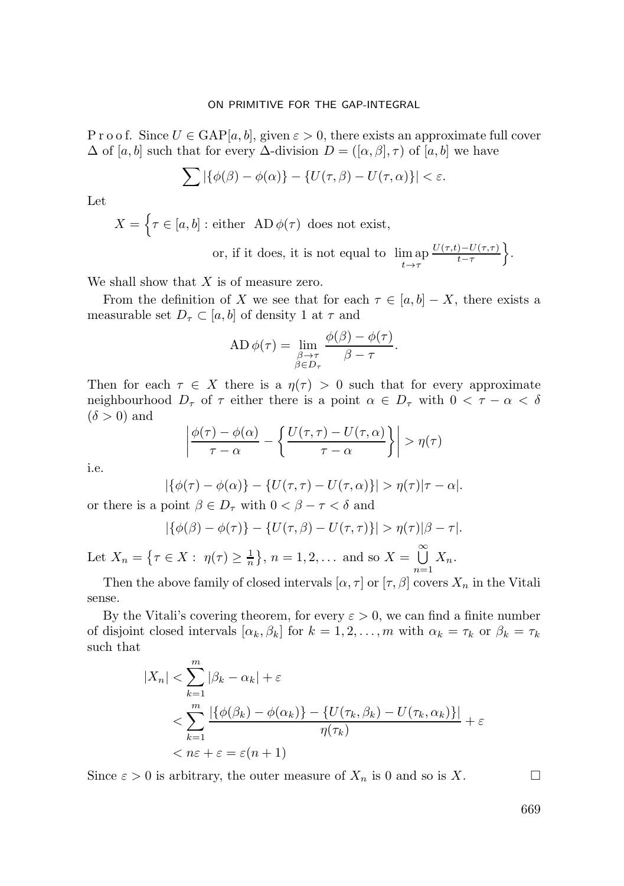### ON PRIMITIVE FOR THE GAP-INTEGRAL

P r o o f. Since  $U \in \text{GAP}[a, b]$ , given  $\varepsilon > 0$ , there exists an approximate full cover  $\Delta$  of [a, b] such that for every  $\Delta$ -division  $D = ([\alpha, \beta], \tau)$  of [a, b] we have

$$
\sum |\{\phi(\beta) - \phi(\alpha)\} - \{U(\tau, \beta) - U(\tau, \alpha)\}| < \varepsilon.
$$

Let

 $X = \{ \tau \in [a, b] : \text{either} \text{ AD } \phi(\tau) \text{ does not exist}, \}$ 

or, if it does, it is not equal to  $\lim_{t \to \tau}$  $U(\tau,t)-U(\tau,\tau)$  $\frac{(-1)^{-U(\tau,\tau)}}{t-\tau}$ 

We shall show that  $X$  is of measure zero.

From the definition of X we see that for each  $\tau \in [a, b] - X$ , there exists a measurable set  $D_{\tau} \subset [a, b]$  of density 1 at  $\tau$  and

AD 
$$
\phi(\tau) = \lim_{\substack{\beta \to \tau \\ \beta \in D_{\tau}}} \frac{\phi(\beta) - \phi(\tau)}{\beta - \tau}.
$$

Then for each  $\tau \in X$  there is a  $\eta(\tau) > 0$  such that for every approximate neighbourhood  $D_{\tau}$  of  $\tau$  either there is a point  $\alpha \in D_{\tau}$  with  $0 < \tau - \alpha < \delta$  $(\delta > 0)$  and

$$
\left| \frac{\phi(\tau) - \phi(\alpha)}{\tau - \alpha} - \left\{ \frac{U(\tau, \tau) - U(\tau, \alpha)}{\tau - \alpha} \right\} \right| > \eta(\tau)
$$

i.e.

$$
|\{\phi(\tau) - \phi(\alpha)\} - \{U(\tau, \tau) - U(\tau, \alpha)\}| > \eta(\tau)|\tau - \alpha|.
$$

or there is a point  $\beta \in D_{\tau}$  with  $0 < \beta - \tau < \delta$  and

$$
|\{\phi(\beta)-\phi(\tau)\}-\{U(\tau,\beta)-U(\tau,\tau)\}|> \eta(\tau)|\beta-\tau|.
$$

Let  $X_n = \{ \tau \in X : \eta(\tau) \ge \frac{1}{n} \}, n = 1, 2, ...$  and so  $X = \bigcup_{n=1}^{\infty} X_n$  $\bigcup_{n=1} X_n$ .

Then the above family of closed intervals  $[\alpha, \tau]$  or  $[\tau, \beta]$  covers  $X_n$  in the Vitali sense.

By the Vitali's covering theorem, for every  $\varepsilon > 0$ , we can find a finite number of disjoint closed intervals  $[\alpha_k, \beta_k]$  for  $k = 1, 2, ..., m$  with  $\alpha_k = \tau_k$  or  $\beta_k = \tau_k$ such that

$$
|X_n| < \sum_{k=1}^m |\beta_k - \alpha_k| + \varepsilon
$$
\n
$$
\langle \sum_{k=1}^m \frac{|\{\phi(\beta_k) - \phi(\alpha_k)\} - \{U(\tau_k, \beta_k) - U(\tau_k, \alpha_k)\}|}{\eta(\tau_k)} \rangle + \varepsilon
$$
\n
$$
\langle n\varepsilon + \varepsilon = \varepsilon(n+1)
$$

Since  $\varepsilon > 0$  is arbitrary, the outer measure of  $X_n$  is 0 and so is X.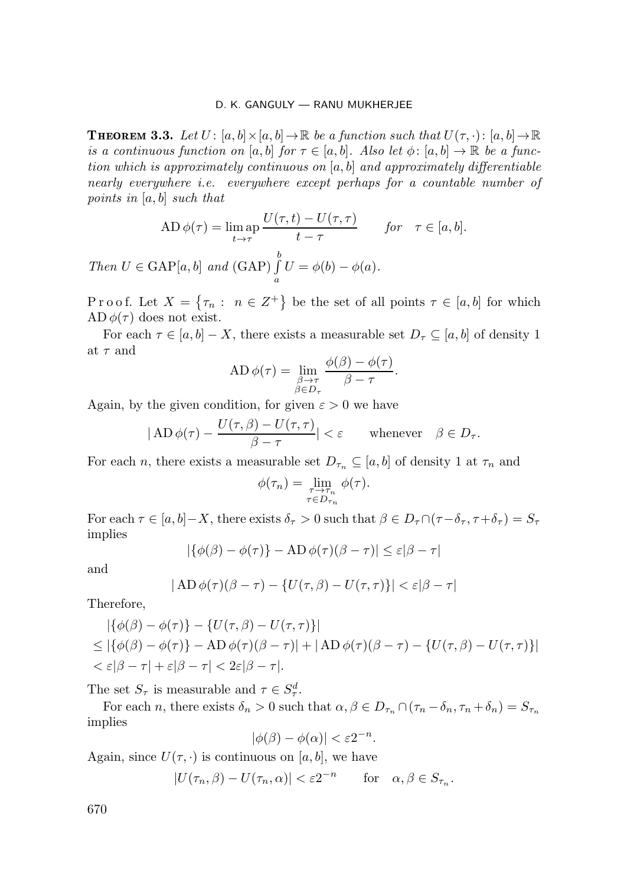**THEOREM 3.3.** Let  $U: [a, b] \times [a, b] \to \mathbb{R}$  be a function such that  $U(\tau, \cdot): [a, b] \to \mathbb{R}$ is a continuous function on [a, b] for  $\tau \in [a, b]$ . Also let  $\phi : [a, b] \to \mathbb{R}$  be a function which is approximately continuous on  $[a, b]$  and approximately differentiable nearly everywhere i.e. everywhere except perhaps for a countable number of points in  $[a, b]$  such that

$$
AD \phi(\tau) = \lim_{t \to \tau} \frac{U(\tau, t) - U(\tau, \tau)}{t - \tau} \quad \text{for} \quad \tau \in [a, b].
$$
  
Then  $U \in \text{GAP}[a, b]$  and  $(\text{GAP}) \int_a^b U = \phi(b) - \phi(a)$ .

a

P r o o f. Let  $X = \{\tau_n : n \in Z^+\}$  be the set of all points  $\tau \in [a, b]$  for which  $AD \phi(\tau)$  does not exist.

For each  $\tau \in [a, b] - X$ , there exists a measurable set  $D_{\tau} \subseteq [a, b]$  of density 1 at  $\tau$  and

AD 
$$
\phi(\tau) = \lim_{\substack{\beta \to \tau \\ \beta \in D_{\tau}}} \frac{\phi(\beta) - \phi(\tau)}{\beta - \tau}
$$
.

Again, by the given condition, for given  $\varepsilon > 0$  we have

$$
|\operatorname{AD}\phi(\tau)-\frac{U(\tau,\beta)-U(\tau,\tau)}{\beta-\tau}|<\varepsilon\qquad\text{whenever}\quad\beta\in D_{\tau}.
$$

For each n, there exists a measurable set  $D_{\tau_n} \subseteq [a, b]$  of density 1 at  $\tau_n$  and

$$
\phi(\tau_n) = \lim_{\substack{\tau \to \tau_n \\ \tau \in D_{\tau_n}}} \phi(\tau).
$$

For each  $\tau \in [a, b] - X$ , there exists  $\delta_{\tau} > 0$  such that  $\beta \in D_{\tau} \cap (\tau - \delta_{\tau}, \tau + \delta_{\tau}) = S_{\tau}$ implies

$$
|\{\phi(\beta) - \phi(\tau)\} - \mathbf{A}\mathbf{D}\,\phi(\tau)(\beta - \tau)| \le \varepsilon |\beta - \tau|
$$

and

$$
|\operatorname{AD}\phi(\tau)(\beta-\tau)-\{U(\tau,\beta)-U(\tau,\tau)\}|<\varepsilon|\beta-\tau|
$$

Therefore,

$$
|\{\phi(\beta) - \phi(\tau)\} - \{U(\tau, \beta) - U(\tau, \tau)\}|
$$
  
\n
$$
\leq |\{\phi(\beta) - \phi(\tau)\} - \mathbf{AD}\,\phi(\tau)(\beta - \tau)| + |\mathbf{AD}\,\phi(\tau)(\beta - \tau) - \{U(\tau, \beta) - U(\tau, \tau)\}|
$$
  
\n
$$
< \varepsilon |\beta - \tau| + \varepsilon |\beta - \tau| < 2\varepsilon |\beta - \tau|.
$$

The set  $S_{\tau}$  is measurable and  $\tau \in S_{\tau}^d$ .

For each n, there exists  $\delta_n > 0$  such that  $\alpha, \beta \in D_{\tau_n} \cap (\tau_n - \delta_n, \tau_n + \delta_n) = S_{\tau_n}$ implies

$$
|\phi(\beta)-\phi(\alpha)|<\varepsilon 2^{-n}.
$$

Again, since  $U(\tau, \cdot)$  is continuous on [a, b], we have

$$
|U(\tau_n, \beta) - U(\tau_n, \alpha)| < \varepsilon 2^{-n} \qquad \text{for} \quad \alpha, \beta \in S_{\tau_n}.
$$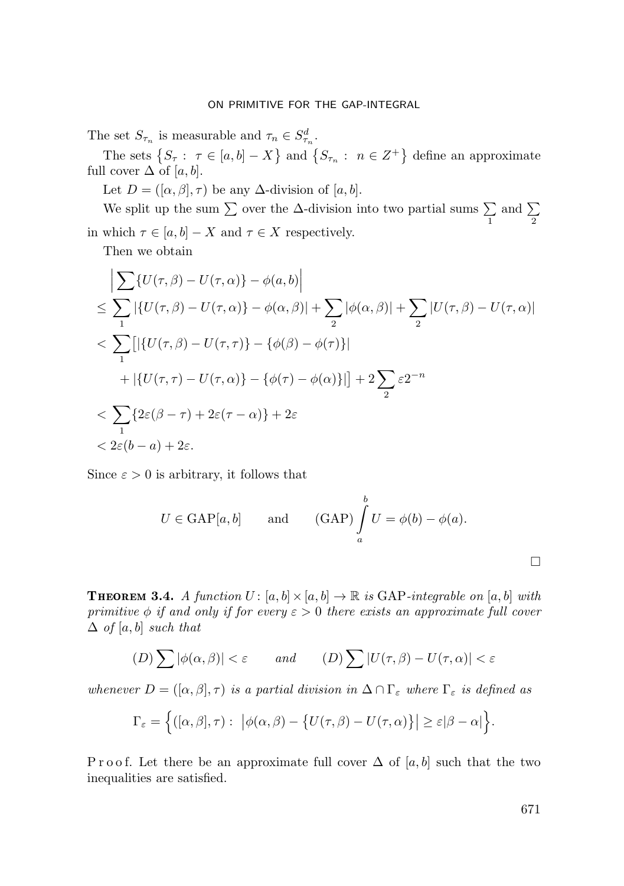The set  $S_{\tau_n}$  is measurable and  $\tau_n \in S^d_{\tau_n}$ .

The sets  $\{S_{\tau} : \tau \in [a, b] - X\}$  and  $\{S_{\tau_n} : n \in \mathbb{Z}^+\}$  define an approximate full cover  $\Delta$  of [a, b].

Let  $D = ([\alpha, \beta], \tau)$  be any  $\Delta$ -division of [a, b].

We split up the sum  $\sum$  over the  $\Delta$ -division into two partial sums  $\sum$ 1 and  $\sum$ 2 in which  $\tau \in [a, b] - X$  and  $\tau \in X$  respectively.

-

Then we obtain

$$
\left| \sum \{ U(\tau,\beta) - U(\tau,\alpha) \} - \phi(a,b) \right|
$$
  
\n
$$
\leq \sum_{1} \left| \{ U(\tau,\beta) - U(\tau,\alpha) \} - \phi(\alpha,\beta) \right| + \sum_{2} |\phi(\alpha,\beta)| + \sum_{2} |U(\tau,\beta) - U(\tau,\alpha)|
$$
  
\n
$$
< \sum_{1} \left[ \left| \{ U(\tau,\beta) - U(\tau,\tau) \} - \{\phi(\beta) - \phi(\tau) \} \right| \right]
$$
  
\n
$$
+ \left| \{ U(\tau,\tau) - U(\tau,\alpha) \} - \{\phi(\tau) - \phi(\alpha) \} \right| \right| + 2 \sum_{2} \varepsilon 2^{-n}
$$
  
\n
$$
< \sum_{1} \{ 2\varepsilon(\beta - \tau) + 2\varepsilon(\tau - \alpha) \} + 2\varepsilon
$$
  
\n
$$
< 2\varepsilon(b - a) + 2\varepsilon.
$$

Since  $\varepsilon > 0$  is arbitrary, it follows that

$$
U \in \text{GAP}[a, b]
$$
 and  $(\text{GAP}) \int_a^b U = \phi(b) - \phi(a).$ 

**THEOREM 3.4.** A function  $U: [a, b] \times [a, b] \rightarrow \mathbb{R}$  is GAP-integrable on  $[a, b]$  with primitive  $\phi$  if and only if for every  $\varepsilon > 0$  there exists an approximate full cover  $\Delta$  of [a, b] such that

$$
(D)\sum |\phi(\alpha,\beta)| < \varepsilon \qquad \text{and} \qquad (D)\sum |U(\tau,\beta) - U(\tau,\alpha)| < \varepsilon
$$

whenever  $D = ([\alpha, \beta], \tau)$  is a partial division in  $\Delta \cap \Gamma_{\varepsilon}$  where  $\Gamma_{\varepsilon}$  is defined as

$$
\Gamma_{\varepsilon} = \Big\{ ([\alpha, \beta], \tau) : \, \big| \phi(\alpha, \beta) - \big\{ U(\tau, \beta) - U(\tau, \alpha) \big\} \big| \geq \varepsilon |\beta - \alpha| \Big\}.
$$

P r o o f. Let there be an approximate full cover  $\Delta$  of [a, b] such that the two inequalities are satisfied.

 $\Box$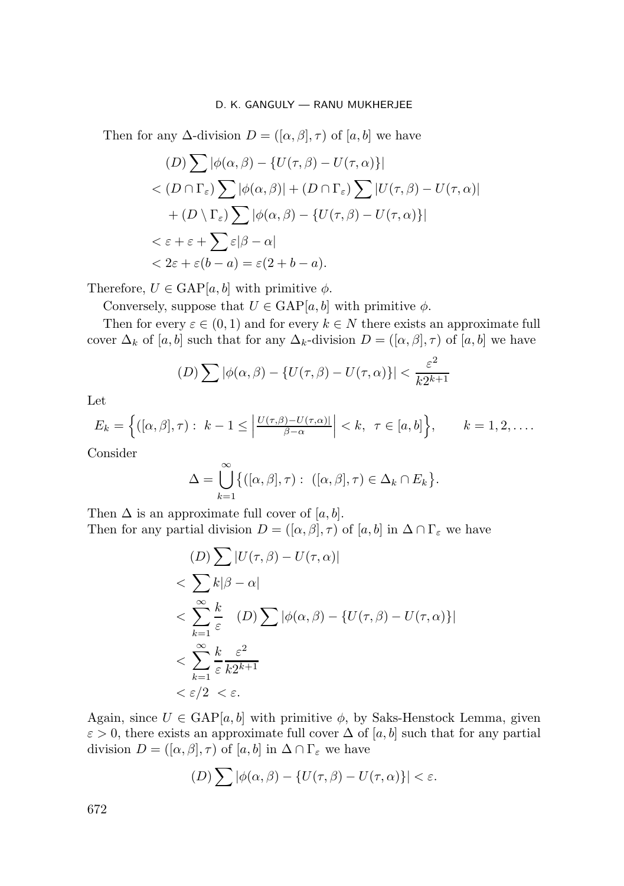Then for any  $\Delta$ -division  $D = ([\alpha, \beta], \tau)$  of  $[a, b]$  we have

$$
(D) \sum |\phi(\alpha, \beta) - \{U(\tau, \beta) - U(\tau, \alpha)\}|
$$
  

$$
< (D \cap \Gamma_{\varepsilon}) \sum |\phi(\alpha, \beta)| + (D \cap \Gamma_{\varepsilon}) \sum |U(\tau, \beta) - U(\tau, \alpha)|
$$
  

$$
+ (D \setminus \Gamma_{\varepsilon}) \sum |\phi(\alpha, \beta) - \{U(\tau, \beta) - U(\tau, \alpha)\}|
$$
  

$$
< \varepsilon + \varepsilon + \sum \varepsilon |\beta - \alpha|
$$
  

$$
< 2\varepsilon + \varepsilon (b - a) = \varepsilon (2 + b - a).
$$

Therefore,  $U \in \text{GAP}[a, b]$  with primitive  $\phi$ .

Conversely, suppose that  $U \in \text{GAP}[a, b]$  with primitive  $\phi$ .

Then for every  $\varepsilon \in (0,1)$  and for every  $k \in N$  there exists an approximate full cover  $\Delta_k$  of [a, b] such that for any  $\Delta_k$ -division  $D = ([\alpha, \beta], \tau)$  of [a, b] we have

$$
(D)\sum |\phi(\alpha,\beta) - \{U(\tau,\beta) - U(\tau,\alpha)\}| < \frac{\varepsilon^2}{k2^{k+1}}
$$

Let

$$
E_k = \left\{ ([\alpha, \beta], \tau) : k - 1 \le \left| \frac{U(\tau, \beta) - U(\tau, \alpha)}{\beta - \alpha} \right| < k, \ \tau \in [a, b] \right\}, \qquad k = 1, 2, \dots
$$

Consider

$$
\Delta = \bigcup_{k=1}^{\infty} \{ ([\alpha, \beta], \tau) : ([\alpha, \beta], \tau) \in \Delta_k \cap E_k \}.
$$

Then  $\Delta$  is an approximate full cover of [a, b]. Then for any partial division  $D = ([\alpha, \beta], \tau)$  of  $[a, b]$  in  $\Delta \cap \Gamma_{\varepsilon}$  we have

$$
(D) \sum |U(\tau, \beta) - U(\tau, \alpha)|
$$
  

$$
< \sum_{k=1}^{\infty} k|\beta - \alpha|
$$
  

$$
< \sum_{k=1}^{\infty} \frac{k}{\varepsilon} (D) \sum |\phi(\alpha, \beta) - \{U(\tau, \beta) - U(\tau, \alpha)\}|
$$
  

$$
< \sum_{k=1}^{\infty} \frac{k}{\varepsilon} \frac{\varepsilon^2}{k2^{k+1}}
$$
  

$$
< \varepsilon/2 < \varepsilon.
$$

Again, since  $U \in \text{GAP}[a, b]$  with primitive  $\phi$ , by Saks-Henstock Lemma, given  $\varepsilon > 0$ , there exists an approximate full cover  $\Delta$  of [a, b] such that for any partial division  $D = ([\alpha, \beta], \tau)$  of  $[a, b]$  in  $\Delta \cap \Gamma_{\varepsilon}$  we have

$$
(D)\sum |\phi(\alpha,\beta) - \{U(\tau,\beta) - U(\tau,\alpha)\}| < \varepsilon.
$$